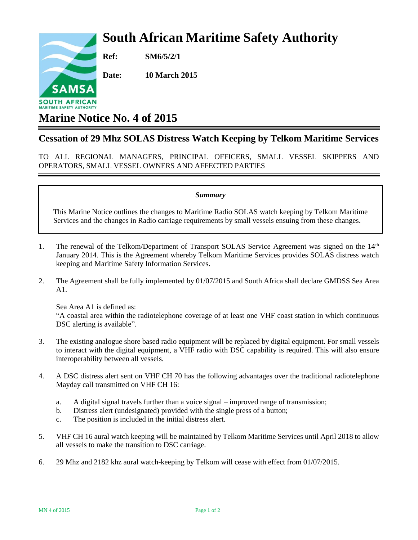## **South African Maritime Safety Authority**

SAMS **SOUTH AFRICAN** 

**Ref: SM6/5/2/1**

**Date: 10 March 2015**

## **Marine Notice No. 4 of 2015**

## **Cessation of 29 Mhz SOLAS Distress Watch Keeping by Telkom Maritime Services**

TO ALL REGIONAL MANAGERS, PRINCIPAL OFFICERS, SMALL VESSEL SKIPPERS AND OPERATORS, SMALL VESSEL OWNERS AND AFFECTED PARTIES

## *Summary*

This Marine Notice outlines the changes to Maritime Radio SOLAS watch keeping by Telkom Maritime Services and the changes in Radio carriage requirements by small vessels ensuing from these changes.

- 1. The renewal of the Telkom/Department of Transport SOLAS Service Agreement was signed on the 14<sup>th</sup> January 2014. This is the Agreement whereby Telkom Maritime Services provides SOLAS distress watch keeping and Maritime Safety Information Services.
- 2. The Agreement shall be fully implemented by 01/07/2015 and South Africa shall declare GMDSS Sea Area A1.

Sea Area A1 is defined as: "A coastal area within the radiotelephone coverage of at least one VHF coast station in which continuous DSC alerting is available".

- 3. The existing analogue shore based radio equipment will be replaced by digital equipment. For small vessels to interact with the digital equipment, a VHF radio with DSC capability is required. This will also ensure interoperability between all vessels.
- 4. A DSC distress alert sent on VHF CH 70 has the following advantages over the traditional radiotelephone Mayday call transmitted on VHF CH 16:
	- a. A digital signal travels further than a voice signal improved range of transmission;
	- b. Distress alert (undesignated) provided with the single press of a button;
	- c. The position is included in the initial distress alert.
- 5. VHF CH 16 aural watch keeping will be maintained by Telkom Maritime Services until April 2018 to allow all vessels to make the transition to DSC carriage.
- 6. 29 Mhz and 2182 khz aural watch-keeping by Telkom will cease with effect from 01/07/2015.